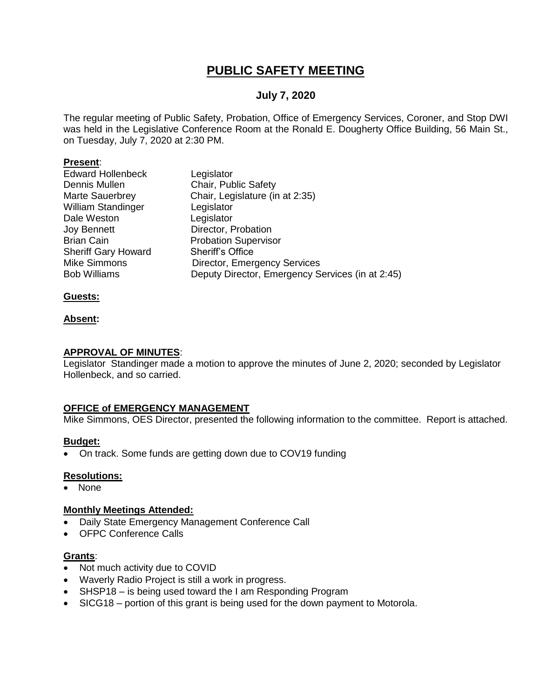## **PUBLIC SAFETY MEETING**

#### **July 7, 2020**

The regular meeting of Public Safety, Probation, Office of Emergency Services, Coroner, and Stop DWI was held in the Legislative Conference Room at the Ronald E. Dougherty Office Building, 56 Main St., on Tuesday, July 7, 2020 at 2:30 PM.

#### **Present**:

| Legislator                                       |
|--------------------------------------------------|
| Chair, Public Safety                             |
| Chair, Legislature (in at 2:35)                  |
| Legislator                                       |
| Legislator                                       |
| Director, Probation                              |
| <b>Probation Supervisor</b>                      |
| <b>Sheriff's Office</b>                          |
| <b>Director, Emergency Services</b>              |
| Deputy Director, Emergency Services (in at 2:45) |
|                                                  |

#### **Guests:**

#### **Absent:**

#### **APPROVAL OF MINUTES**:

Legislator Standinger made a motion to approve the minutes of June 2, 2020; seconded by Legislator Hollenbeck, and so carried.

#### **OFFICE of EMERGENCY MANAGEMENT**

Mike Simmons, OES Director, presented the following information to the committee. Report is attached.

#### **Budget:**

On track. Some funds are getting down due to COV19 funding

#### **Resolutions:**

• None

#### **Monthly Meetings Attended:**

- Daily State Emergency Management Conference Call
- OFPC Conference Calls

#### **Grants**:

- Not much activity due to COVID
- Waverly Radio Project is still a work in progress.
- SHSP18 is being used toward the I am Responding Program
- SICG18 portion of this grant is being used for the down payment to Motorola.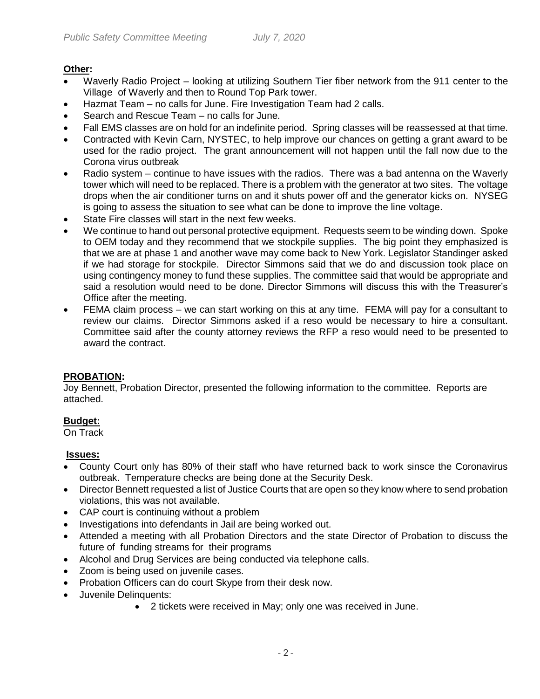#### **Other:**

- Waverly Radio Project looking at utilizing Southern Tier fiber network from the 911 center to the Village of Waverly and then to Round Top Park tower.
- Hazmat Team no calls for June. Fire Investigation Team had 2 calls.
- Search and Rescue Team no calls for June.
- Fall EMS classes are on hold for an indefinite period. Spring classes will be reassessed at that time.
- Contracted with Kevin Carn, NYSTEC, to help improve our chances on getting a grant award to be used for the radio project. The grant announcement will not happen until the fall now due to the Corona virus outbreak
- Radio system continue to have issues with the radios. There was a bad antenna on the Waverly tower which will need to be replaced. There is a problem with the generator at two sites. The voltage drops when the air conditioner turns on and it shuts power off and the generator kicks on. NYSEG is going to assess the situation to see what can be done to improve the line voltage.
- State Fire classes will start in the next few weeks.
- We continue to hand out personal protective equipment. Requests seem to be winding down. Spoke to OEM today and they recommend that we stockpile supplies. The big point they emphasized is that we are at phase 1 and another wave may come back to New York. Legislator Standinger asked if we had storage for stockpile. Director Simmons said that we do and discussion took place on using contingency money to fund these supplies. The committee said that would be appropriate and said a resolution would need to be done. Director Simmons will discuss this with the Treasurer's Office after the meeting.
- FEMA claim process we can start working on this at any time. FEMA will pay for a consultant to review our claims. Director Simmons asked if a reso would be necessary to hire a consultant. Committee said after the county attorney reviews the RFP a reso would need to be presented to award the contract.

#### **PROBATION:**

Joy Bennett, Probation Director, presented the following information to the committee. Reports are attached.

#### **Budget:**

On Track

#### **Issues:**

- County Court only has 80% of their staff who have returned back to work sinsce the Coronavirus outbreak. Temperature checks are being done at the Security Desk.
- Director Bennett requested a list of Justice Courts that are open so they know where to send probation violations, this was not available.
- CAP court is continuing without a problem
- Investigations into defendants in Jail are being worked out.
- Attended a meeting with all Probation Directors and the state Director of Probation to discuss the future of funding streams for their programs
- Alcohol and Drug Services are being conducted via telephone calls.
- Zoom is being used on juvenile cases.
- Probation Officers can do court Skype from their desk now.
- Juvenile Delinquents:
	- 2 tickets were received in May; only one was received in June.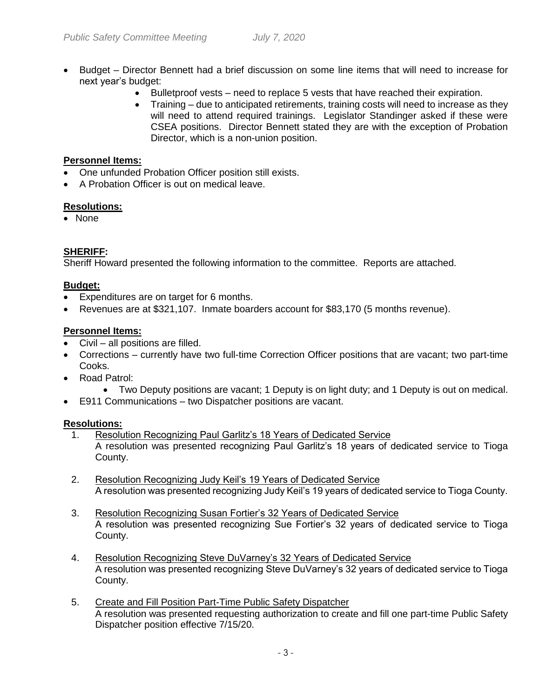- Budget Director Bennett had a brief discussion on some line items that will need to increase for next year's budget:
	- Bulletproof vests need to replace 5 vests that have reached their expiration.
	- Training due to anticipated retirements, training costs will need to increase as they will need to attend required trainings. Legislator Standinger asked if these were CSEA positions. Director Bennett stated they are with the exception of Probation Director, which is a non-union position.

#### **Personnel Items:**

- One unfunded Probation Officer position still exists.
- A Probation Officer is out on medical leave.

#### **Resolutions:**

• None

#### **SHERIFF:**

Sheriff Howard presented the following information to the committee. Reports are attached.

#### **Budget:**

- Expenditures are on target for 6 months.
- Revenues are at \$321,107. Inmate boarders account for \$83,170 (5 months revenue).

#### **Personnel Items:**

- Civil all positions are filled.
- Corrections currently have two full-time Correction Officer positions that are vacant; two part-time Cooks.
- Road Patrol:
	- Two Deputy positions are vacant; 1 Deputy is on light duty; and 1 Deputy is out on medical.
- E911 Communications two Dispatcher positions are vacant.

#### **Resolutions:**

- 1. Resolution Recognizing Paul Garlitz's 18 Years of Dedicated Service A resolution was presented recognizing Paul Garlitz's 18 years of dedicated service to Tioga County.
- 2. Resolution Recognizing Judy Keil's 19 Years of Dedicated Service A resolution was presented recognizing Judy Keil's 19 years of dedicated service to Tioga County.
- 3. Resolution Recognizing Susan Fortier's 32 Years of Dedicated Service A resolution was presented recognizing Sue Fortier's 32 years of dedicated service to Tioga County.
- 4. Resolution Recognizing Steve DuVarney's 32 Years of Dedicated Service A resolution was presented recognizing Steve DuVarney's 32 years of dedicated service to Tioga County.
- 5. Create and Fill Position Part-Time Public Safety Dispatcher A resolution was presented requesting authorization to create and fill one part-time Public Safety Dispatcher position effective 7/15/20.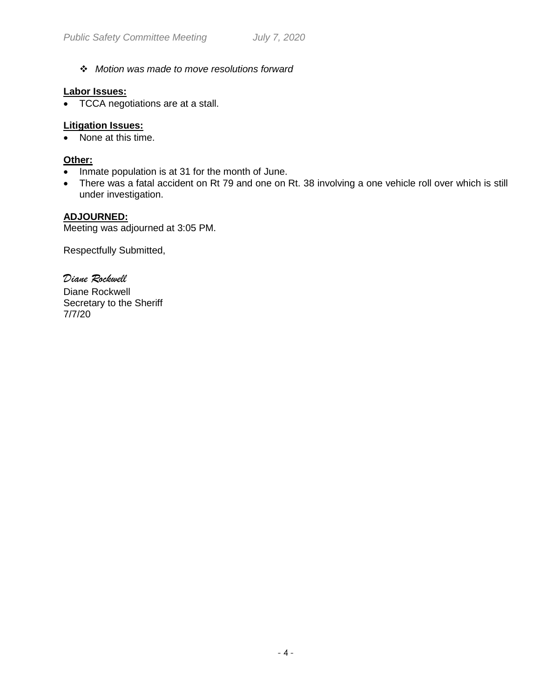*Motion was made to move resolutions forward*

#### **Labor Issues:**

• TCCA negotiations are at a stall.

#### **Litigation Issues:**

• None at this time.

#### **Other:**

- Inmate population is at 31 for the month of June.
- There was a fatal accident on Rt 79 and one on Rt. 38 involving a one vehicle roll over which is still under investigation.

#### **ADJOURNED:**

Meeting was adjourned at 3:05 PM.

Respectfully Submitted,

*Diane Rockwell* Diane Rockwell Secretary to the Sheriff 7/7/20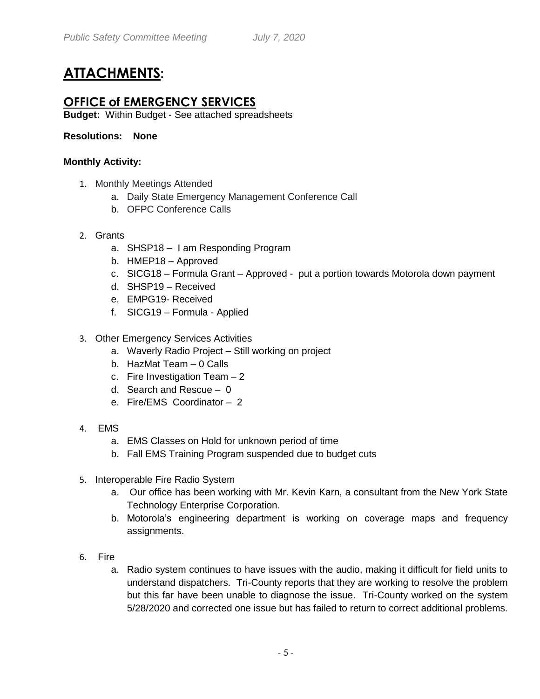## **ATTACHMENTS:**

## **OFFICE of EMERGENCY SERVICES**

**Budget:** Within Budget - See attached spreadsheets

#### **Resolutions: None**

#### **Monthly Activity:**

- 1. Monthly Meetings Attended
	- a. Daily State Emergency Management Conference Call
	- b. OFPC Conference Calls
- 2. Grants
	- a. SHSP18 I am Responding Program
	- b. HMEP18 Approved
	- c. SICG18 Formula Grant Approved put a portion towards Motorola down payment
	- d. SHSP19 Received
	- e. EMPG19- Received
	- f. SICG19 Formula Applied
- 3. Other Emergency Services Activities
	- a. Waverly Radio Project Still working on project
	- b. HazMat Team 0 Calls
	- c. Fire Investigation Team 2
	- d. Search and Rescue 0
	- e. Fire/EMS Coordinator 2
- 4. EMS
	- a. EMS Classes on Hold for unknown period of time
	- b. Fall EMS Training Program suspended due to budget cuts
- 5. Interoperable Fire Radio System
	- a. Our office has been working with Mr. Kevin Karn, a consultant from the New York State Technology Enterprise Corporation.
	- b. Motorola's engineering department is working on coverage maps and frequency assignments.
- 6. Fire
	- a. Radio system continues to have issues with the audio, making it difficult for field units to understand dispatchers. Tri-County reports that they are working to resolve the problem but this far have been unable to diagnose the issue. Tri-County worked on the system 5/28/2020 and corrected one issue but has failed to return to correct additional problems.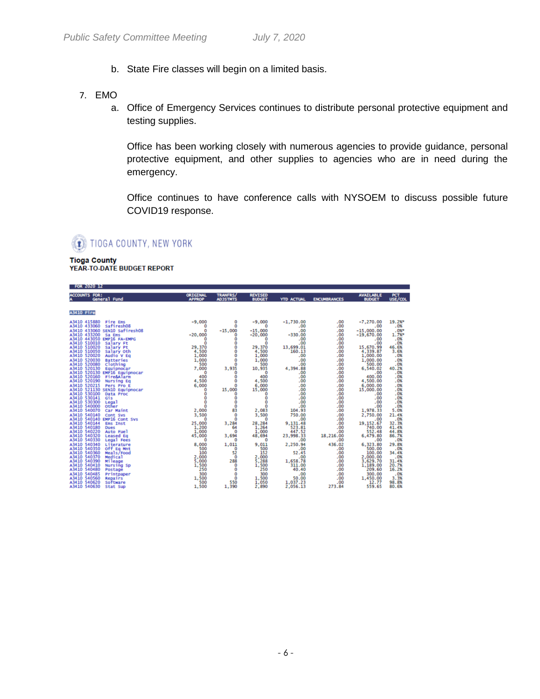- b. State Fire classes will begin on a limited basis.
- 7. EMO
	- a. Office of Emergency Services continues to distribute personal protective equipment and testing supplies.

Office has been working closely with numerous agencies to provide guidance, personal protective equipment, and other supplies to agencies who are in need during the emergency.

Office continues to have conference calls with NYSOEM to discuss possible future COVID19 response.

**I** TIOGA COUNTY, NEW YORK

**Tioga County** YEAR-TO-DATE BUDGET REPORT

| FUR CULU 16                                                                                                                                                                                                                                                                                                                   |                                                                                       |                                                                                |                                                                                                             |                                                                                                        |                                                                                 |                                                                                                                     |                                                                                          |
|-------------------------------------------------------------------------------------------------------------------------------------------------------------------------------------------------------------------------------------------------------------------------------------------------------------------------------|---------------------------------------------------------------------------------------|--------------------------------------------------------------------------------|-------------------------------------------------------------------------------------------------------------|--------------------------------------------------------------------------------------------------------|---------------------------------------------------------------------------------|---------------------------------------------------------------------------------------------------------------------|------------------------------------------------------------------------------------------|
| <b>ACCOUNTS FOR:</b><br>General Fund                                                                                                                                                                                                                                                                                          | <b>ORIGINAL</b><br><b>APPROP</b>                                                      | <b>TRANFRS/</b><br><b>ADJSTNTS</b>                                             | <b>REVISED</b><br><b>BUDGET</b>                                                                             | <b>YTD ACTUAL</b>                                                                                      | <b>ENCUMBRANCES</b>                                                             | <b>AVAILABLE</b><br><b>BUDGET</b>                                                                                   | PCT<br>USE/COL                                                                           |
| A3410 Fire                                                                                                                                                                                                                                                                                                                    |                                                                                       |                                                                                |                                                                                                             |                                                                                                        |                                                                                 |                                                                                                                     |                                                                                          |
| A3410 415880<br>Fire Ems<br>A3410 433060<br>Safiresh08<br>A3410 433060 SEN10 Safiresh08<br>A3410 433200<br>Sa Ems<br>A3410 443050 EMP16 FA-EMPG<br>A3410 510010<br>Salary Ft<br>A3410 510020<br>Salary Pt<br>A3410 510050<br>salary oth<br>A3410 520020<br>Audio V Eq<br>A3410 520030<br>Batteries                            | $-9,000$<br>٥<br>n<br>$-20,000$<br>٥<br>o<br>29,370<br>4,500<br>1,000<br>1,000        | $\circ$<br>o<br>$-15,000$<br>0<br>Ō<br>O<br>ō<br>Ō<br>ō<br>$\mathbf 0$         | $-9,000$<br>$\Omega$<br>$-15,000$<br>$-20,000$<br>$\Omega$<br>$\Omega$<br>29,370<br>4,500<br>1,000<br>1,000 | $-1,730.00$<br>.00<br>.00<br>$-330.00$<br>.00<br>.00<br>13,699.01<br>160.13<br>.00<br>.00              | .00<br>.00<br>.00<br>.00<br>.00<br>.00<br>.00<br>.00<br>.00<br>.00              | $-7,270,00$<br>.00<br>$-15,000.00$<br>$-19,670.00$<br>.00<br>.00<br>15,670.99<br>4,339.87<br>1,000.00<br>1,000.00   | 19.2%*<br>.0%<br>.0%<br>1.7%*<br>.0%<br>.0%<br>46.6%<br>3.6%<br>.0%<br>.0%               |
| A3410 520080<br>Clothing<br>A3410 520130<br>Equipnocar<br>A3410 520130 EMP16 Equipnocar<br>A3410 520160<br>Fire&Alarm<br>A3410 520190<br>Nursing Eq<br>A3410 520215<br>Pers Pro E<br>A3410 521130 SEN10 Equipnocar<br>A3410 530100<br>Data Proc<br>A3410 530141<br>Gis                                                        | 500<br>7,000<br>$\Omega$<br>400<br>4,500<br>6,000<br>$\circ$<br>o<br>o                | O<br>3,935<br>$\mathbf 0$<br>Ö<br>$\mathbf 0$<br>$\Omega$<br>15,000<br>o<br>o  | 500<br>10,935<br><b>CO</b><br>400<br>4,500<br>15,000<br>$\mathbf 0$<br>Ō                                    | .00<br>4,394.88<br>.00<br>.00<br>.00<br>.00<br>.00<br>.00<br>.00                                       | .00<br>.00<br>.00<br>.00<br>.00<br>.00<br>.00<br>.00<br>.00                     | 500.00<br>6,540.02<br>.00<br>400.00<br>4,500.00<br>6,000.00<br>15,000.00<br>.00<br>.00                              | .0%<br>40.2%<br>.0%<br>.0%<br>.0%<br>.0%<br>.0%<br>.0%<br>.0%                            |
| A3410 530300<br>Legal<br>A3410 540000<br><b>Other</b><br>A3410 540070<br>Car Maint<br>A3410 540140<br>Cont Sys<br>A3410 540140 EMP16 Cont Svs<br>A3410 540144<br><b>Ems</b> Inst<br>A3410 540180<br><b>Dues</b><br>A3410 540220<br>Auto Fuel<br>A3410 540320<br><b>Leased Eq</b><br>A3410 540330<br>Legal Fees                | ō<br>o<br>2,000<br>3,500<br>$\Omega$<br>25,000<br>1,000<br>45,000<br>o                | ō<br>Ō<br>83<br>$\Omega$<br>$\bf{0}$<br>3,284<br>$\Omega$<br>3,694<br>$\Omega$ | Ō<br>ō<br>2,083<br>3,500<br>$\Omega$<br>28,284<br>1,264<br>1,000<br>48,694<br>$\Omega$                      | .00<br>.00<br>104.93<br>750.00<br>.00<br>9,131.48<br>523.81<br>447.52<br>23,998.33<br>.00              | .00<br>.00<br>.00<br>.00<br>.00<br>.00<br>.00<br>.00<br>18,216.00<br>.00        | .00<br>.00<br>1,978.33<br>2,750.00<br>.00<br>19, 152.67<br>740.00<br>552.48<br>6,479.80<br>.00                      | .0%<br>.0%<br>5.0%<br>21.4%<br>.0%<br>32.3%<br>41.4%<br>44.8%<br>86.7%<br>.0%            |
| A3410 540340<br>Literature<br>A3410 540350<br>Off Eq Mnt<br>A3410 540360<br>Meals/Food<br>A3410 540370<br>Medical<br>A3410 540390<br><b>Mileage</b><br>A3410 540410<br>Nursing Sp<br>A3410 540480<br>Postage<br>A3410 540485<br>Printpaper<br>A3410 540560<br>Repairs<br>A3410 540620<br>Software<br>A3410 540630<br>Stat Sup | 8,000<br>500<br>100<br>2,000<br>5,000<br>1,500<br>250<br>300<br>1.500<br>500<br>1,500 | 1,011<br>$\circ$<br>52<br>0<br>288<br>$\bf{0}$<br>Ō<br>o<br>ō<br>550<br>1,390  | 9,011<br>500<br>152<br>2,000<br>5,288<br>1,500<br>250<br>300<br>1,500<br>1,050<br>2,890                     | 2,250.94<br>.00<br>52.45<br>.00<br>1,658.78<br>311.00<br>40.40<br>.00<br>50.00<br>1,037.23<br>2,056.13 | 436.02<br>.00<br>.00<br>.00<br>.00<br>.00<br>.00<br>.00<br>.00<br>.00<br>273.84 | 6,323.80<br>500.00<br>100.00<br>2,000.00<br>3,629.70<br>1,189.00<br>209.60<br>300.00<br>1,450.00<br>12.77<br>559.65 | 29.8%<br>.0%<br>34.4%<br>.0%<br>31.4%<br>20.7%<br>16.2%<br>.0%<br>3.3%<br>98.8%<br>80.6% |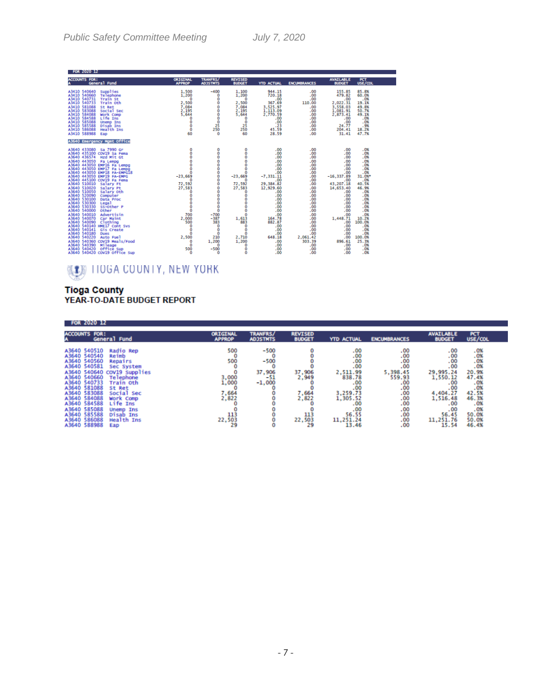| <b>FOR 2020 12</b>                                                                                                                                                                                                                                                                                                                                                                                                                                                                                                                                                                                                                                                                                                                                                                                                                                        |                                                                                                                                                                                                                 |                                                                                                                                                                                                        |                                                                                                                                                                                                                                                                      |                                                                                                                                                                                                                                |                                                                                                                                                                                                          |                                                                                                                                                                                                                                 |                                                                                                                                                                                                                   |
|-----------------------------------------------------------------------------------------------------------------------------------------------------------------------------------------------------------------------------------------------------------------------------------------------------------------------------------------------------------------------------------------------------------------------------------------------------------------------------------------------------------------------------------------------------------------------------------------------------------------------------------------------------------------------------------------------------------------------------------------------------------------------------------------------------------------------------------------------------------|-----------------------------------------------------------------------------------------------------------------------------------------------------------------------------------------------------------------|--------------------------------------------------------------------------------------------------------------------------------------------------------------------------------------------------------|----------------------------------------------------------------------------------------------------------------------------------------------------------------------------------------------------------------------------------------------------------------------|--------------------------------------------------------------------------------------------------------------------------------------------------------------------------------------------------------------------------------|----------------------------------------------------------------------------------------------------------------------------------------------------------------------------------------------------------|---------------------------------------------------------------------------------------------------------------------------------------------------------------------------------------------------------------------------------|-------------------------------------------------------------------------------------------------------------------------------------------------------------------------------------------------------------------|
| <b>ACCOUNTS FOR:</b><br>General Fund                                                                                                                                                                                                                                                                                                                                                                                                                                                                                                                                                                                                                                                                                                                                                                                                                      | <b>ORIGINAL</b><br><b>APPROP</b>                                                                                                                                                                                | <b>TRANFRS/</b><br><b>ADJSTNTS</b>                                                                                                                                                                     | <b>REVISED</b><br><b>BUDGET</b>                                                                                                                                                                                                                                      | <b>YTD ACTUAL</b>                                                                                                                                                                                                              | <b>ENCUMBRANCES</b>                                                                                                                                                                                      | <b>AVAILABLE</b><br><b>BUDGET</b>                                                                                                                                                                                               | PCT<br>USE/COL                                                                                                                                                                                                    |
| A3410 540640<br>Supplies<br>A3410 540660<br>Telephone<br>A3410 540731<br><b>Train St</b><br>A3410 540733<br>Train oth<br>A3410 581088<br>St Ret<br>A3410 583088<br>Social Sec<br>A3410 584088<br>Work Comp<br>A3410 584588<br>Life Ins<br>A3410 585088<br><b>Unemp Ins</b><br>A3410 585588<br>Disab Ins<br>A3410 586088<br>Health Ins<br>A3410 588988<br>Eap                                                                                                                                                                                                                                                                                                                                                                                                                                                                                              | 1.500<br>1,200<br>n<br>2,500<br>7,084<br>2,195<br>5.644<br>o<br>o<br>o<br>Ō<br>60                                                                                                                               | $-400$<br>$\circ$<br>Ō<br>٥<br>Ō<br>Ō<br>o<br>Ō<br>Ō<br>25<br>250<br>$\bf{0}$                                                                                                                          | 1,100<br>1,200<br>$\Omega$<br>2,500<br>7,084<br>2,195<br>5,644<br>0<br>$\circ$<br>25<br>250<br>60                                                                                                                                                                    | 944.15<br>720.18<br>.00<br>367.69<br>3.525.97<br>1,113.09<br>2,770.59<br>.00<br>.00<br>.23<br>45.59<br>28.59                                                                                                                   | .00<br>.00<br>.00<br>110.00<br>.00<br>.00<br>.00<br>.00<br>.00<br>.00<br>.00<br>.00                                                                                                                      | 155.85<br>479.82<br>.00<br>2,022.31<br>3.558.03<br>1,081.91<br>2,873.41<br>.00<br>.00<br>24.77<br>204.41<br>31.41                                                                                                               | 85.8%<br>60.0%<br>.0%<br>19.1%<br>49.8%<br>50.7%<br>49.1%<br>.0%<br>.0%<br>.9%<br>18.2%<br>47.7%                                                                                                                  |
| <b>A3640 Emergency Mgmt Office</b>                                                                                                                                                                                                                                                                                                                                                                                                                                                                                                                                                                                                                                                                                                                                                                                                                        |                                                                                                                                                                                                                 |                                                                                                                                                                                                        |                                                                                                                                                                                                                                                                      |                                                                                                                                                                                                                                |                                                                                                                                                                                                          |                                                                                                                                                                                                                                 |                                                                                                                                                                                                                   |
| A3640 433080 Sa 7990 Gr<br>A3640 435100 COV19 Sa Fema<br>A3640 436574 Hzd Mit Gt<br>A3640 443050<br>Fa Lempg<br>A3640 443050 EMP16 Fa Lempg<br>A3640 443050 EMP17 Fa Lempg<br>A3640 443050 EMP18 FA-EMPG18<br>A3640 443050 EMP19 FA-EMPG<br>A3640 445100 COV19 Fa Fema<br>A3640 510010<br>Salary Ft<br>A3640 510020<br>Salary Pt<br>A3640 510050<br>salary oth<br>A3640 520090<br>Computer<br>A3640 530100<br>Data Proc<br>A3640 530300<br>Legal<br>A3640 530330<br>SS-Other P<br>A3640 540000<br>Other<br>A3640 540010<br>Advertisin<br>A3640 540070<br>Car Maint<br>A3640 540090<br>Clothing<br>A3640 540140 HME17 Cont Svs<br>A3640 540141<br>Gis Create<br>A3640 540180<br><b>Dues</b><br>A3640 540220<br>Auto Fuel<br>A3640 540360 COV19 Meals/Food<br>Mileage<br>A3640 540390<br>A3640 540420<br><b>Office Sup</b><br>A3640 540420 COV19 Office Sup | 0<br>$\frac{0}{0}$<br>$\frac{0}{0}$<br>ō<br>$-23,669$<br>n<br>72,592<br>27,583<br>$\circ$<br>o<br>ō<br>ŏ<br>Ō<br>$\bf{0}$<br>700<br>2,000<br>500<br>$\mathbf 0$<br>Ō<br>o<br>2,500<br>$\Omega$<br>n<br>500<br>o | 0<br>Ō<br>Ō<br>ö<br>ŏ<br>ō<br>Ō<br>Ō<br>Ō<br>٥<br>0<br>Ō<br>o<br>ō<br>Ō<br>ŏ<br>$\bf{o}$<br>$-700$<br>$-387$<br>383<br>O<br>$\mathbf 0$<br>$\circ$<br>210<br>1,200<br>$\mathbf 0$<br>$-500$<br>$\circ$ | 0<br>$\bar{0}$<br>$\ddot{\mathbf{0}}$<br>ŏ<br>ō<br>Ō<br>$-23,669$<br>$\Omega$<br>72,592<br>27,583<br>$\mathbf 0$<br>Ō<br>ō<br>$\bar{0}$<br>$\bf{0}$<br>$\mathbf 0$<br>1,613<br>883<br>$\mathbf 0$<br>$\bf{0}$<br>$\Omega$<br>2,710<br>1,200<br>$\mathbf 0$<br>Ō<br>ŏ | .00<br>.00<br>.00<br>.00<br>.00<br>.00<br>.00<br>$-7, 331.11$<br>.00<br>29,384.82<br>12,929.60<br>.00<br>.00<br>.00<br>.00<br>.00<br>.00<br>.00<br>164.78<br>882.87<br>.00<br>.00<br>.00<br>648.18<br>.00<br>.00<br>.00<br>.00 | .00<br>.00<br>.00<br>.00<br>.00<br>.00<br>.00<br>.00<br>.00<br>.00<br>.00<br>.00<br>.00<br>.00<br>.00<br>.00<br>.00<br>.00<br>.00<br>.00<br>.00<br>.00<br>.00<br>2,061.42<br>303.39<br>.00<br>.00<br>.00 | .00<br>.00.<br>.00<br>.00<br>.00<br>.00<br>.00<br>$-16, 337.89$<br>.00<br>43,207.18<br>14,653.40<br>.00<br>.00<br>.00<br>.00<br>.00<br>.00<br>.00<br>1,448.71<br>.00<br>.00<br>.00<br>.00<br>.00<br>896.61<br>.00<br>.00<br>.00 | .0%<br>.0%<br>.0%<br>.0%<br>.0%<br>.0%<br>.0%<br>31.0%*<br>.0%<br>40.5%<br>46.9%<br>.0%<br>.0%<br>.0%<br>.0%<br>.0%<br>.0%<br>.0%<br>10.2%<br>100.0%<br>.0%<br>.0%<br>.0%<br>100.0%<br>25.3%<br>.0%<br>.0%<br>.0% |

## **WEEN TIOGA COUNTY, NEW YORK**

# Tioga County<br>YEAR-TO-DATE BUDGET REPORT

| FOR 2020 12                                                                                                                                                                                                                                  |                                                                                                                                                                                                |                                                                          |                                               |                                                          |                                                                                                                                                                                             |                                                                                                                                                                                                                 |                                                                                                                                      |                                                                                                                 |
|----------------------------------------------------------------------------------------------------------------------------------------------------------------------------------------------------------------------------------------------|------------------------------------------------------------------------------------------------------------------------------------------------------------------------------------------------|--------------------------------------------------------------------------|-----------------------------------------------|----------------------------------------------------------|---------------------------------------------------------------------------------------------------------------------------------------------------------------------------------------------|-----------------------------------------------------------------------------------------------------------------------------------------------------------------------------------------------------------------|--------------------------------------------------------------------------------------------------------------------------------------|-----------------------------------------------------------------------------------------------------------------|
| <b>ACCOUNTS FOR:</b>                                                                                                                                                                                                                         | General Fund                                                                                                                                                                                   | ORIGINAL<br><b>APPROP</b>                                                | <b>TRANFRS/</b><br><b>ADJSTMTS</b>            | <b>REVISED</b><br><b>BUDGET</b>                          | <b>YTD ACTUAL</b>                                                                                                                                                                           | <b>ENCUMBRANCES</b>                                                                                                                                                                                             | <b>AVAILABLE</b><br><b>BUDGET</b>                                                                                                    | PCT<br>USE/COL                                                                                                  |
| A3640 540510<br>A3640 540540<br>A3640 540560<br>A3640 540581<br>A3640 540640<br>A3640 540660<br>A3640 540733<br>A3640 581088<br>A3640 583088<br>A3640 584088<br>A3640 584588<br>A3640 585088<br>A3640 585588<br>A3640 586088<br>A3640 588988 | Radio Rep<br>Reimb<br>Repairs<br>Sec System<br>COV19 Supplies<br>Telephone<br>Train Oth<br>St Ret<br>Social Sec<br>Work Comp<br>Life Ins<br><b>Unemp Ins</b><br>Disab Ins<br>Health Ins<br>Eap | 500<br>500<br>3,000<br>1,000<br>7,664<br>2,822<br>22,503<br>22,503<br>29 | -500<br>$-500$<br>37,906<br>$-51$<br>$-1,000$ | 37,906<br>2,949<br>7,664<br>2,822<br>113<br>22,503<br>29 | $\begin{array}{c} 0.00 \\[-4pt] 0.00 \\[-4pt] 0.00 \\[-4pt] 0.00 \end{array}$<br>2,511.99<br>838.78<br>$\frac{00}{00}$<br>3,259.73<br>1,305.52<br>.00<br>.00<br>56.55<br>11,251.24<br>13.46 | $\begin{array}{c} 0.00 \\[-4pt] 0.00 \\[-4pt] 0.00 \\[-4pt] 0.00 \end{array}$<br>5.398.45<br>559.93<br>$\begin{array}{c} 0.00 \\ -0.00 \\ -0.00 \\ -0.00 \\ -0.00 \end{array}$<br>$\frac{00}{00}$<br>.00<br>.00 | .00<br>.00<br>.00<br>.00<br>29,995.24<br>1,550.12<br>.00<br>.00<br>4,404.27<br>1,516.48<br>.00<br>.00<br>56.45<br>11,251.76<br>15.54 | .0%<br>$.0%_{.0%}$<br>$.0%$<br>20.9%<br>47.4%<br>.0%<br>42.5%<br>46.3%<br>.0%<br>.0%<br>50.0%<br>50.0%<br>46.4% |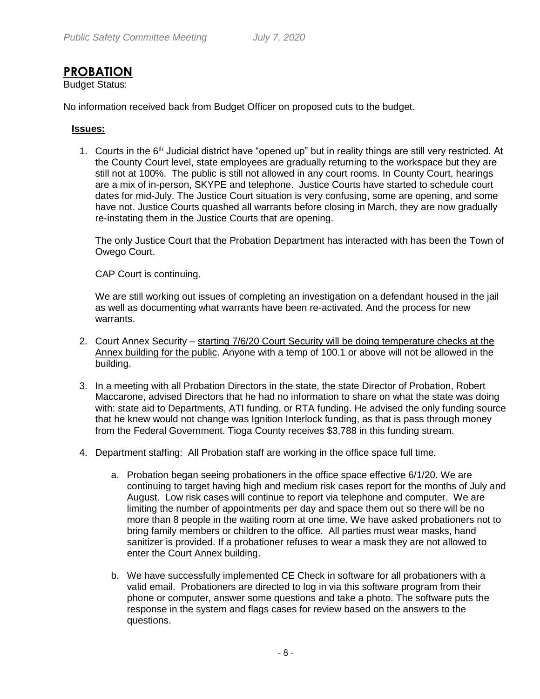## **PROBATION**

Budget Status:

No information received back from Budget Officer on proposed cuts to the budget.

#### **Issues:**

1. Courts in the 6<sup>th</sup> Judicial district have "opened up" but in reality things are still very restricted. At the County Court level, state employees are gradually returning to the workspace but they are still not at 100%. The public is still not allowed in any court rooms. In County Court, hearings are a mix of in-person, SKYPE and telephone. Justice Courts have started to schedule court dates for mid-July. The Justice Court situation is very confusing, some are opening, and some have not. Justice Courts quashed all warrants before closing in March, they are now gradually re-instating them in the Justice Courts that are opening.

The only Justice Court that the Probation Department has interacted with has been the Town of Owego Court.

CAP Court is continuing.

We are still working out issues of completing an investigation on a defendant housed in the jail as well as documenting what warrants have been re-activated. And the process for new warrants.

- 2. Court Annex Security starting 7/6/20 Court Security will be doing temperature checks at the Annex building for the public. Anyone with a temp of 100.1 or above will not be allowed in the building.
- 3. In a meeting with all Probation Directors in the state, the state Director of Probation, Robert Maccarone, advised Directors that he had no information to share on what the state was doing with: state aid to Departments, ATI funding, or RTA funding. He advised the only funding source that he knew would not change was Ignition Interlock funding, as that is pass through money from the Federal Government. Tioga County receives \$3,788 in this funding stream.
- 4. Department staffing: All Probation staff are working in the office space full time.
	- a. Probation began seeing probationers in the office space effective 6/1/20. We are continuing to target having high and medium risk cases report for the months of July and August. Low risk cases will continue to report via telephone and computer. We are limiting the number of appointments per day and space them out so there will be no more than 8 people in the waiting room at one time. We have asked probationers not to bring family members or children to the office. All parties must wear masks, hand sanitizer is provided. If a probationer refuses to wear a mask they are not allowed to enter the Court Annex building.
	- b. We have successfully implemented CE Check in software for all probationers with a valid email. Probationers are directed to log in via this software program from their phone or computer, answer some questions and take a photo. The software puts the response in the system and flags cases for review based on the answers to the questions.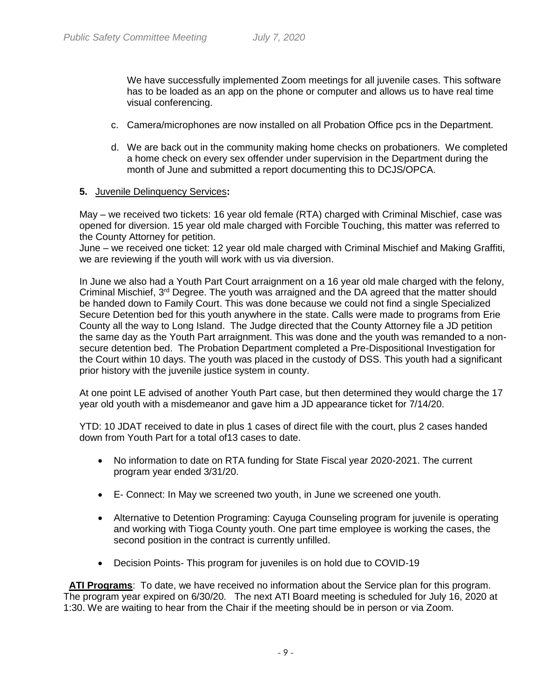We have successfully implemented Zoom meetings for all juvenile cases. This software has to be loaded as an app on the phone or computer and allows us to have real time visual conferencing.

- c. Camera/microphones are now installed on all Probation Office pcs in the Department.
- d. We are back out in the community making home checks on probationers. We completed a home check on every sex offender under supervision in the Department during the month of June and submitted a report documenting this to DCJS/OPCA.

#### **5.** Juvenile Delinquency Services**:**

May – we received two tickets: 16 year old female (RTA) charged with Criminal Mischief, case was opened for diversion. 15 year old male charged with Forcible Touching, this matter was referred to the County Attorney for petition.

June – we received one ticket: 12 year old male charged with Criminal Mischief and Making Graffiti, we are reviewing if the youth will work with us via diversion.

In June we also had a Youth Part Court arraignment on a 16 year old male charged with the felony, Criminal Mischief,  $3<sup>rd</sup>$  Degree. The youth was arraigned and the DA agreed that the matter should be handed down to Family Court. This was done because we could not find a single Specialized Secure Detention bed for this youth anywhere in the state. Calls were made to programs from Erie County all the way to Long Island. The Judge directed that the County Attorney file a JD petition the same day as the Youth Part arraignment. This was done and the youth was remanded to a nonsecure detention bed. The Probation Department completed a Pre-Dispositional Investigation for the Court within 10 days. The youth was placed in the custody of DSS. This youth had a significant prior history with the juvenile justice system in county.

At one point LE advised of another Youth Part case, but then determined they would charge the 17 year old youth with a misdemeanor and gave him a JD appearance ticket for 7/14/20.

YTD: 10 JDAT received to date in plus 1 cases of direct file with the court, plus 2 cases handed down from Youth Part for a total of13 cases to date.

- No information to date on RTA funding for State Fiscal year 2020-2021. The current program year ended 3/31/20.
- E- Connect: In May we screened two youth, in June we screened one youth.
- Alternative to Detention Programing: Cayuga Counseling program for juvenile is operating and working with Tioga County youth. One part time employee is working the cases, the second position in the contract is currently unfilled.
- Decision Points- This program for juveniles is on hold due to COVID-19

 **ATI Programs**: To date, we have received no information about the Service plan for this program. The program year expired on 6/30/20. The next ATI Board meeting is scheduled for July 16, 2020 at 1:30. We are waiting to hear from the Chair if the meeting should be in person or via Zoom.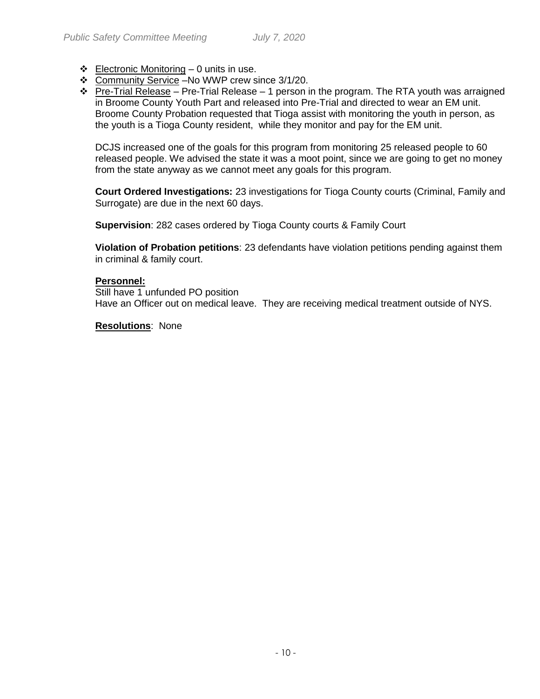- $\div$  Electronic Monitoring 0 units in use.
- Community Service –No WWP crew since 3/1/20.
- $\cdot \cdot$  Pre-Trial Release Pre-Trial Release 1 person in the program. The RTA youth was arraigned in Broome County Youth Part and released into Pre-Trial and directed to wear an EM unit. Broome County Probation requested that Tioga assist with monitoring the youth in person, as the youth is a Tioga County resident, while they monitor and pay for the EM unit.

DCJS increased one of the goals for this program from monitoring 25 released people to 60 released people. We advised the state it was a moot point, since we are going to get no money from the state anyway as we cannot meet any goals for this program.

**Court Ordered Investigations:** 23 investigations for Tioga County courts (Criminal, Family and Surrogate) are due in the next 60 days.

**Supervision**: 282 cases ordered by Tioga County courts & Family Court

**Violation of Probation petitions**: 23 defendants have violation petitions pending against them in criminal & family court.

#### **Personnel:**

Still have 1 unfunded PO position Have an Officer out on medical leave. They are receiving medical treatment outside of NYS.

**Resolutions**: None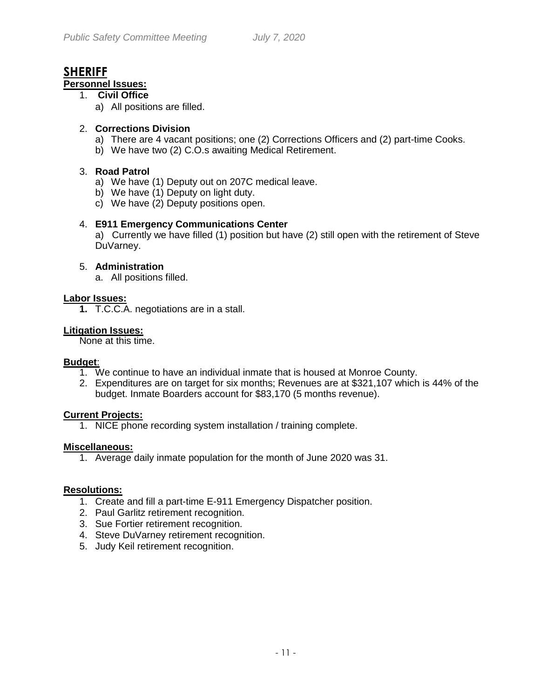# **SHERIFF**

#### **Personnel Issues:**

- 1. **Civil Office**
	- a) All positions are filled.

#### 2. **Corrections Division**

- a) There are 4 vacant positions; one (2) Corrections Officers and (2) part-time Cooks.
- b) We have two (2) C.O.s awaiting Medical Retirement.

#### 3. **Road Patrol**

- a) We have (1) Deputy out on 207C medical leave.
- b) We have (1) Deputy on light duty.
- c) We have (2) Deputy positions open.

#### 4. **E911 Emergency Communications Center**

a)Currently we have filled (1) position but have (2) still open with the retirement of Steve DuVarney.

#### 5. **Administration**

a. All positions filled.

#### **Labor Issues:**

**1.** T.C.C.A. negotiations are in a stall.

#### **Litigation Issues:**

None at this time.

#### **Budget**:

- 1. We continue to have an individual inmate that is housed at Monroe County.
- 2. Expenditures are on target for six months; Revenues are at \$321,107 which is 44% of the budget. Inmate Boarders account for \$83,170 (5 months revenue).

#### **Current Projects:**

1. NICE phone recording system installation / training complete.

#### **Miscellaneous:**

1. Average daily inmate population for the month of June 2020 was 31.

#### **Resolutions:**

- 1. Create and fill a part-time E-911 Emergency Dispatcher position.
- 2. Paul Garlitz retirement recognition.
- 3. Sue Fortier retirement recognition.
- 4. Steve DuVarney retirement recognition.
- 5. Judy Keil retirement recognition.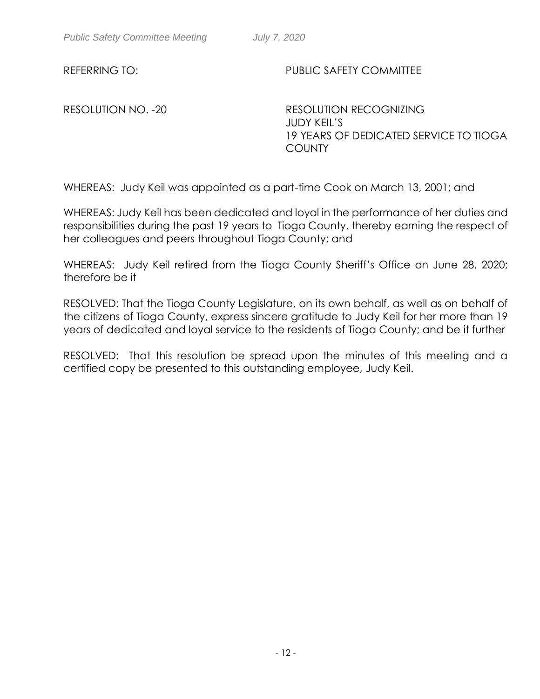RESOLUTION NO. -20 RESOLUTION RECOGNIZING JUDY KEIL'S 19 YEARS OF DEDICATED SERVICE TO TIOGA **COUNTY** 

WHEREAS: Judy Keil was appointed as a part-time Cook on March 13, 2001; and

WHEREAS: Judy Keil has been dedicated and loyal in the performance of her duties and responsibilities during the past 19 years to Tioga County, thereby earning the respect of her colleagues and peers throughout Tioga County; and

WHEREAS: Judy Keil retired from the Tioga County Sheriff's Office on June 28, 2020; therefore be it

RESOLVED: That the Tioga County Legislature, on its own behalf, as well as on behalf of the citizens of Tioga County, express sincere gratitude to Judy Keil for her more than 19 years of dedicated and loyal service to the residents of Tioga County; and be it further

RESOLVED: That this resolution be spread upon the minutes of this meeting and a certified copy be presented to this outstanding employee, Judy Keil.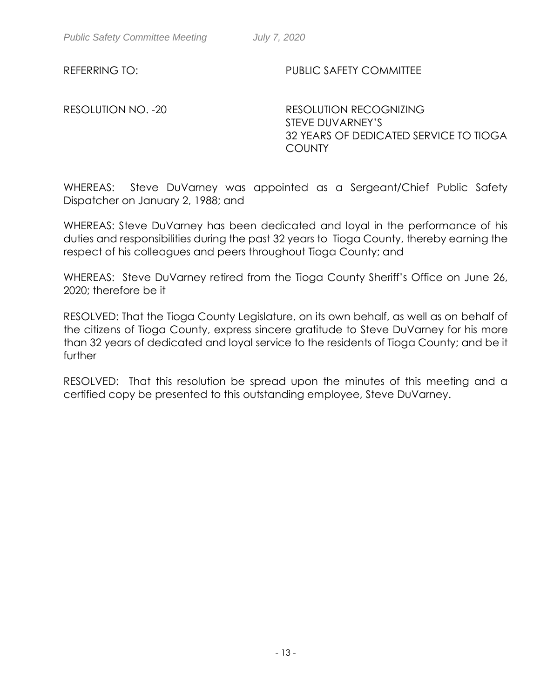RESOLUTION NO. -20 RESOLUTION RECOGNIZING STEVE DUVARNEY'S 32 YEARS OF DEDICATED SERVICE TO TIOGA **COUNTY** 

WHEREAS: Steve DuVarney was appointed as a Sergeant/Chief Public Safety Dispatcher on January 2, 1988; and

WHEREAS: Steve DuVarney has been dedicated and loyal in the performance of his duties and responsibilities during the past 32 years to Tioga County, thereby earning the respect of his colleagues and peers throughout Tioga County; and

WHEREAS: Steve DuVarney retired from the Tioga County Sheriff's Office on June 26, 2020; therefore be it

RESOLVED: That the Tioga County Legislature, on its own behalf, as well as on behalf of the citizens of Tioga County, express sincere gratitude to Steve DuVarney for his more than 32 years of dedicated and loyal service to the residents of Tioga County; and be it further

RESOLVED: That this resolution be spread upon the minutes of this meeting and a certified copy be presented to this outstanding employee, Steve DuVarney.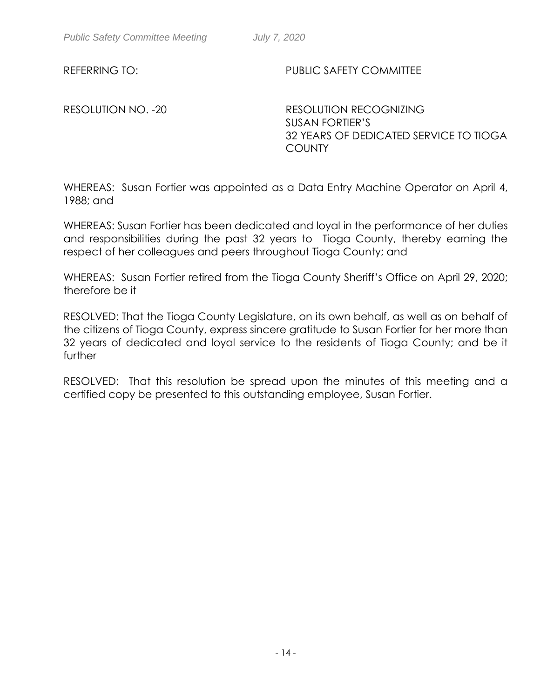RESOLUTION NO. -20 RESOLUTION RECOGNIZING SUSAN FORTIER'S 32 YEARS OF DEDICATED SERVICE TO TIOGA **COUNTY** 

WHEREAS: Susan Fortier was appointed as a Data Entry Machine Operator on April 4, 1988; and

WHEREAS: Susan Fortier has been dedicated and loyal in the performance of her duties and responsibilities during the past 32 years to Tioga County, thereby earning the respect of her colleagues and peers throughout Tioga County; and

WHEREAS: Susan Fortier retired from the Tioga County Sheriff's Office on April 29, 2020; therefore be it

RESOLVED: That the Tioga County Legislature, on its own behalf, as well as on behalf of the citizens of Tioga County, express sincere gratitude to Susan Fortier for her more than 32 years of dedicated and loyal service to the residents of Tioga County; and be it further

RESOLVED: That this resolution be spread upon the minutes of this meeting and a certified copy be presented to this outstanding employee, Susan Fortier.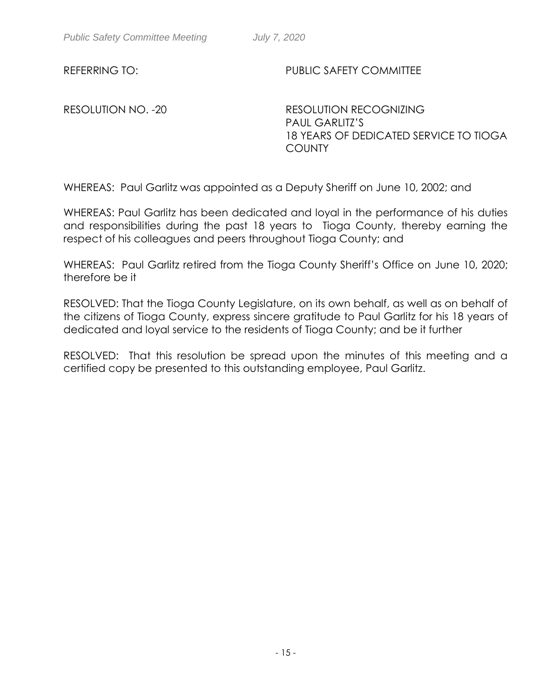RESOLUTION NO. -20 RESOLUTION RECOGNIZING PAUL GARLITZ'S 18 YEARS OF DEDICATED SERVICE TO TIOGA **COUNTY** 

WHEREAS: Paul Garlitz was appointed as a Deputy Sheriff on June 10, 2002; and

WHEREAS: Paul Garlitz has been dedicated and loyal in the performance of his duties and responsibilities during the past 18 years to Tioga County, thereby earning the respect of his colleagues and peers throughout Tioga County; and

WHEREAS: Paul Garlitz retired from the Tioga County Sheriff's Office on June 10, 2020; therefore be it

RESOLVED: That the Tioga County Legislature, on its own behalf, as well as on behalf of the citizens of Tioga County, express sincere gratitude to Paul Garlitz for his 18 years of dedicated and loyal service to the residents of Tioga County; and be it further

RESOLVED: That this resolution be spread upon the minutes of this meeting and a certified copy be presented to this outstanding employee, Paul Garlitz.